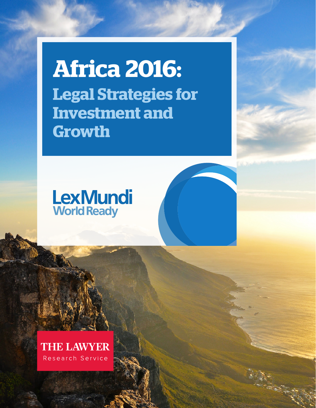**Africa 2016: Legal Strategies for Investment and Growth**

# **LexMundi World Ready**

**THE LAWYER** Research Service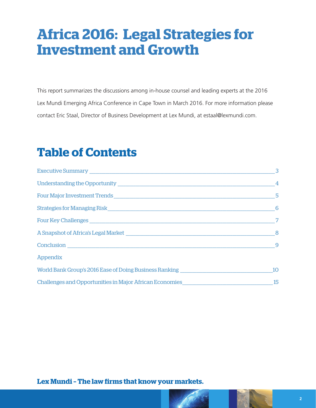# **Africa 2016: Legal Strategies for Investment and Growth**

This report summarizes the discussions among in-house counsel and leading experts at the 2016 Lex Mundi Emerging Africa Conference in Cape Town in March 2016. For more information please contact Eric Staal, Director of Business Development at Lex Mundi, at estaal@lexmundi.com.

### **Table of Contents**

|                                                                                  | 3               |
|----------------------------------------------------------------------------------|-----------------|
|                                                                                  | $\overline{4}$  |
|                                                                                  | 5               |
|                                                                                  | $6\overline{6}$ |
|                                                                                  | 7               |
|                                                                                  | 8               |
|                                                                                  | 9               |
| <b>Appendix</b>                                                                  |                 |
| World Bank Group's 2016 Ease of Doing Business Ranking _________________________ | 10              |
|                                                                                  |                 |

Lex Mundi - The law firms that know your markets.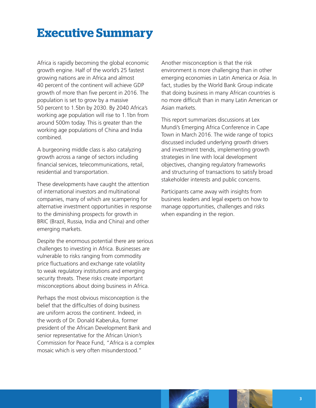### <span id="page-2-0"></span>**Executive Summary**

Africa is rapidly becoming the global economic growth engine. Half of the world's 25 fastest growing nations are in Africa and almost 40 percent of the continent will achieve GDP growth of more than five percent in 2016. The population is set to grow by a massive 50 percent to 1.5bn by 2030. By 2040 Africa's working age population will rise to 1.1bn from around 500m today. This is greater than the working age populations of China and India combined.

A burgeoning middle class is also catalyzing growth across a range of sectors including financial services, telecommunications, retail, residential and transportation.

These developments have caught the attention of international investors and multinational companies, many of which are scampering for alternative investment opportunities in response to the diminishing prospects for growth in BRIC (Brazil, Russia, India and China) and other emerging markets.

Despite the enormous potential there are serious challenges to investing in Africa. Businesses are vulnerable to risks ranging from commodity price fluctuations and exchange rate volatility to weak regulatory institutions and emerging security threats. These risks create important misconceptions about doing business in Africa.

Perhaps the most obvious misconception is the belief that the difficulties of doing business are uniform across the continent. Indeed, in the words of Dr. Donald Kaberuka, former president of the African Development Bank and senior representative for the African Union's Commission for Peace Fund, "Africa is a complex mosaic which is very often misunderstood."

Another misconception is that the risk environment is more challenging than in other emerging economies in Latin America or Asia. In fact, studies by the World Bank Group indicate that doing business in many African countries is no more difficult than in many Latin American or Asian markets.

This report summarizes discussions at Lex Mundi's Emerging Africa Conference in Cape Town in March 2016. The wide range of topics discussed included underlying growth drivers and investment trends, implementing growth strategies in line with local development objectives, changing regulatory frameworks and structuring of transactions to satisfy broad stakeholder interests and public concerns.

Participants came away with insights from business leaders and legal experts on how to manage opportunities, challenges and risks when expanding in the region.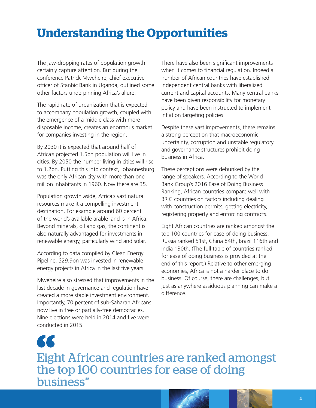## <span id="page-3-0"></span>**Understanding the Opportunities**

The jaw-dropping rates of population growth certainly capture attention. But during the conference Patrick Mweheire, chief executive officer of Stanbic Bank in Uganda, outlined some other factors underpinning Africa's allure.

The rapid rate of urbanization that is expected to accompany population growth, coupled with the emergence of a middle class with more disposable income, creates an enormous market for companies investing in the region.

By 2030 it is expected that around half of Africa's projected 1.5bn population will live in cities. By 2050 the number living in cities will rise to 1.2bn. Putting this into context, Johannesburg was the only African city with more than one million inhabitants in 1960. Now there are 35.

Population growth aside, Africa's vast natural resources make it a compelling investment destination. For example around 60 percent of the world's available arable land is in Africa. Beyond minerals, oil and gas, the continent is also naturally advantaged for investments in renewable energy, particularly wind and solar.

According to data compiled by Clean Energy Pipeline, \$29.9bn was invested in renewable energy projects in Africa in the last five years.

Mweheire also stressed that improvements in the last decade in governance and regulation have created a more stable investment environment. Importantly, 70 percent of sub-Saharan Africans now live in free or partially-free democracies. Nine elections were held in 2014 and five were conducted in 2015.

There have also been significant improvements when it comes to financial regulation. Indeed a number of African countries have established independent central banks with liberalized current and capital accounts. Many central banks have been given responsibility for monetary policy and have been instructed to implement inflation targeting policies.

Despite these vast improvements, there remains a strong perception that macroeconomic uncertainty, corruption and unstable regulatory and governance structures prohibit doing business in Africa.

These perceptions were debunked by the range of speakers. According to the World Bank Group's 2016 Ease of Doing Business Ranking, African countries compare well with BRIC countries on factors including dealing with construction permits, getting electricity, registering property and enforcing contracts.

Eight African countries are ranked amongst the top 100 countries for ease of doing business. Russia ranked 51st, China 84th, Brazil 116th and India 130th. (The full table of countries ranked for ease of doing business is provided at the end of this report.) Relative to other emerging economies, Africa is not a harder place to do business. Of course, there are challenges, but just as anywhere assiduous planning can make a difference.

66 Eight African countries are ranked amongst the top 100 countries for ease of doing business"

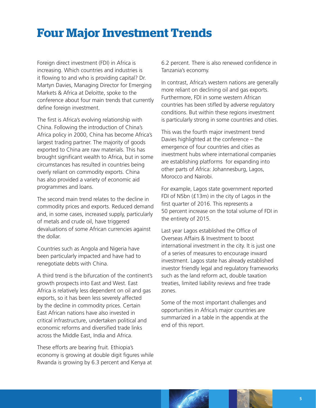### <span id="page-4-0"></span>**Four Major Investment Trends**

Foreign direct investment (FDI) in Africa is increasing. Which countries and industries is it flowing to and who is providing capital? Dr. Martyn Davies, Managing Director for Emerging Markets & Africa at Deloitte, spoke to the conference about four main trends that currently define foreign investment.

The first is Africa's evolving relationship with China. Following the introduction of China's Africa policy in 2000, China has become Africa's largest trading partner. The majority of goods exported to China are raw materials. This has brought significant wealth to Africa, but in some circumstances has resulted in countries being overly reliant on commodity exports. China has also provided a variety of economic aid programmes and loans.

The second main trend relates to the decline in commodity prices and exports. Reduced demand and, in some cases, increased supply, particularly of metals and crude oil, have triggered devaluations of some African currencies against the dollar.

Countries such as Angola and Nigeria have been particularly impacted and have had to renegotiate debts with China.

A third trend is the bifurcation of the continent's growth prospects into East and West. East Africa is relatively less dependent on oil and gas exports, so it has been less severely affected by the decline in commodity prices. Certain East African nations have also invested in critical infrastructure, undertaken political and economic reforms and diversified trade links across the Middle East, India and Africa.

These efforts are bearing fruit. Ethiopia's economy is growing at double digit figures while Rwanda is growing by 6.3 percent and Kenya at

6.2 percent. There is also renewed confidence in Tanzania's economy.

In contrast, Africa's western nations are generally more reliant on declining oil and gas exports. Furthermore, FDI in some western African countries has been stifled by adverse regulatory conditions. But within these regions investment is particularly strong in some countries and cities.

This was the fourth major investment trend Davies highlighted at the conference – the emergence of four countries and cities as investment hubs where international companies are establishing platforms for expanding into other parts of Africa: Johannesburg, Lagos, Morocco and Nairobi.

For example, Lagos state government reported FDI of N5bn (£13m) in the city of Lagos in the first quarter of 2016. This represents a 50 percent increase on the total volume of FDI in the entirety of 2015.

Last year Lagos established the Office of Overseas Affairs & Investment to boost international investment in the city. It is just one of a series of measures to encourage inward investment. Lagos state has already established investor friendly legal and regulatory frameworks such as the land reform act, double taxation treaties, limited liability reviews and free trade zones.

Some of the most important challenges and opportunities in Africa's major countries are summarized in a table in the appendix at the end of this report.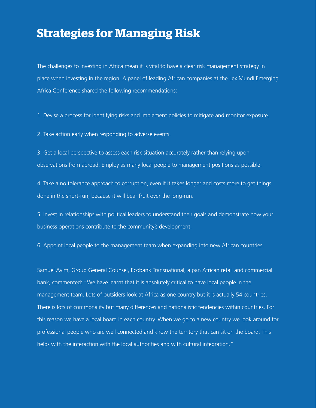### <span id="page-5-0"></span>**Strategies for Managing Risk**

The challenges to investing in Africa mean it is vital to have a clear risk management strategy in place when investing in the region. A panel of leading African companies at the Lex Mundi Emerging Africa Conference shared the following recommendations:

1. Devise a process for identifying risks and implement policies to mitigate and monitor exposure.

2. Take action early when responding to adverse events.

3. Get a local perspective to assess each risk situation accurately rather than relying upon observations from abroad. Employ as many local people to management positions as possible.

4. Take a no tolerance approach to corruption, even if it takes longer and costs more to get things done in the short-run, because it will bear fruit over the long-run.

5. Invest in relationships with political leaders to understand their goals and demonstrate how your business operations contribute to the community's development.

6. Appoint local people to the management team when expanding into new African countries.

Samuel Ayim, Group General Counsel, Ecobank Transnational, a pan African retail and commercial bank, commented: "We have learnt that it is absolutely critical to have local people in the management team. Lots of outsiders look at Africa as one country but it is actually 54 countries. There is lots of commonality but many differences and nationalistic tendencies within countries. For this reason we have a local board in each country. When we go to a new country we look around for professional people who are well connected and know the territory that can sit on the board. This helps with the interaction with the local authorities and with cultural integration."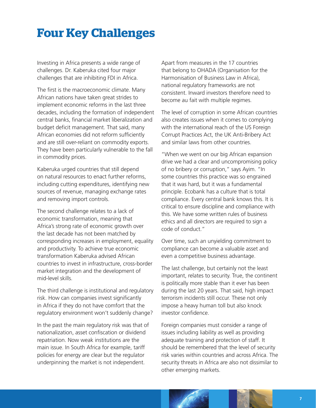## <span id="page-6-0"></span>**Four Key Challenges**

Investing in Africa presents a wide range of challenges. Dr. Kaberuka cited four major challenges that are inhibiting FDI in Africa.

The first is the macroeconomic climate. Many African nations have taken great strides to implement economic reforms in the last three decades, including the formation of independent central banks, financial market liberalization and budget deficit management. That said, many African economies did not reform sufficiently and are still over-reliant on commodity exports. They have been particularly vulnerable to the fall in commodity prices.

Kaberuka urged countries that still depend on natural resources to enact further reforms, including cutting expenditures, identifying new sources of revenue, managing exchange rates and removing import controls.

The second challenge relates to a lack of economic transformation, meaning that Africa's strong rate of economic growth over the last decade has not been matched by corresponding increases in employment, equality and productivity. To achieve true economic transformation Kaberuka advised African countries to invest in infrastructure, cross-border market integration and the development of mid-level skills.

The third challenge is institutional and regulatory risk. How can companies invest significantly in Africa if they do not have comfort that the regulatory environment won't suddenly change?

In the past the main regulatory risk was that of nationalization, asset confiscation or dividend repatriation. Now weak institutions are the main issue. In South Africa for example, tariff policies for energy are clear but the regulator underpinning the market is not independent.

Apart from measures in the 17 countries that belong to OHADA (Organisation for the Harmonisation of Business Law in Africa), national regulatory frameworks are not consistent. Inward investors therefore need to become au fait with multiple regimes.

The level of corruption in some African countries also creates issues when it comes to complying with the international reach of the US Foreign Corrupt Practices Act, the UK Anti-Bribery Act and similar laws from other countries.

"When we went on our big African expansion drive we had a clear and uncompromising policy of no bribery or corruption," says Ayim. "In some countries this practice was so engrained that it was hard, but it was a fundamental principle. Ecobank has a culture that is total compliance. Every central bank knows this. It is critical to ensure discipline and compliance with this. We have some written rules of business ethics and all directors are required to sign a code of conduct."

Over time, such an unyielding commitment to compliance can become a valuable asset and even a competitive business advantage.

The last challenge, but certainly not the least important, relates to security. True, the continent is politically more stable than it ever has been during the last 20 years. That said, high impact terrorism incidents still occur. These not only impose a heavy human toll but also knock investor confidence.

Foreign companies must consider a range of issues including liability as well as providing adequate training and protection of staff. It should be remembered that the level of security risk varies within countries and across Africa. The security threats in Africa are also not dissimilar to other emerging markets.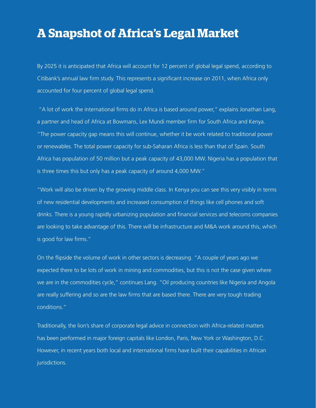### <span id="page-7-0"></span>**A Snapshot of Africa's Legal Market**

By 2025 it is anticipated that Africa will account for 12 percent of global legal spend, according to Citibank's annual law firm study. This represents a significant increase on 2011, when Africa only accounted for four percent of global legal spend.

 "A lot of work the international firms do in Africa is based around power," explains Jonathan Lang, a partner and head of Africa at Bowmans, Lex Mundi member firm for South Africa and Kenya. "The power capacity gap means this will continue, whether it be work related to traditional power or renewables. The total power capacity for sub-Saharan Africa is less than that of Spain. South Africa has population of 50 million but a peak capacity of 43,000 MW. Nigeria has a population that is three times this but only has a peak capacity of around 4,000 MW."

"Work will also be driven by the growing middle class. In Kenya you can see this very visibly in terms of new residential developments and increased consumption of things like cell phones and soft drinks. There is a young rapidly urbanizing population and financial services and telecoms companies are looking to take advantage of this. There will be infrastructure and M&A work around this, which is good for law firms."

On the flipside the volume of work in other sectors is decreasing. "A couple of years ago we expected there to be lots of work in mining and commodities, but this is not the case given where we are in the commodities cycle," continues Lang. "Oil producing countries like Nigeria and Angola are really suffering and so are the law firms that are based there. There are very tough trading conditions."

Traditionally, the lion's share of corporate legal advice in connection with Africa-related matters has been performed in major foreign capitals like London, Paris, New York or Washington, D.C. However, in recent years both local and international firms have built their capabilities in African jurisdictions.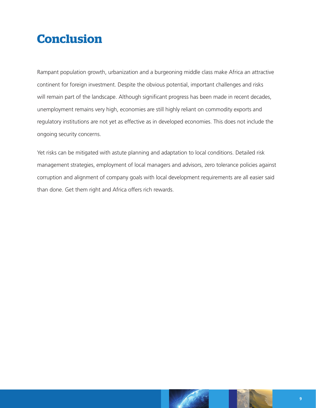## <span id="page-8-0"></span>**Conclusion**

Rampant population growth, urbanization and a burgeoning middle class make Africa an attractive continent for foreign investment. Despite the obvious potential, important challenges and risks will remain part of the landscape. Although significant progress has been made in recent decades, unemployment remains very high, economies are still highly reliant on commodity exports and regulatory institutions are not yet as effective as in developed economies. This does not include the ongoing security concerns.

Yet risks can be mitigated with astute planning and adaptation to local conditions. Detailed risk management strategies, employment of local managers and advisors, zero tolerance policies against corruption and alignment of company goals with local development requirements are all easier said than done. Get them right and Africa offers rich rewards.

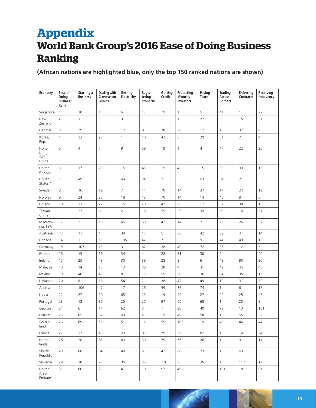### <span id="page-9-0"></span>**Appendix World Bank Group's 2016 Ease of Doing Business Ranking**

**(African nations are highlighted blue, only the top 150 ranked nations are shown)**

| Economy                       | Ease of<br>Doing<br><b>Business</b><br>Rank | Starting a<br><b>Business</b> | Dealing with<br>Construction<br><b>Permits</b> | Getting<br>Electricity | Regis-<br>tering<br>Property | Getting<br>Credit | Protecting<br><b>Minority</b><br><b>Investors</b> | Paying<br><b>Taxes</b> | <b>Trading</b><br>Across<br><b>Borders</b> | Enforcing<br>Contracts | <b>Resolving</b><br>Insolvency |
|-------------------------------|---------------------------------------------|-------------------------------|------------------------------------------------|------------------------|------------------------------|-------------------|---------------------------------------------------|------------------------|--------------------------------------------|------------------------|--------------------------------|
| Singapore                     | $\mathbf{1}$                                | 10                            | $\mathbf{1}$                                   | 6                      | 17                           | 19                | $\mathbf{1}$                                      | 5                      | 41                                         | $\mathbf{1}$           | 27                             |
| New<br>Zealand                | $\overline{2}$                              | $\mathbf{1}$                  | 3                                              | 31                     | $\mathbf{1}$                 | $\mathbf{1}$      | $\mathbf{1}$                                      | 22                     | 55                                         | 15                     | 31                             |
| Denmark                       | 3                                           | 29                            | 5                                              | 12                     | 9                            | 28                | 20                                                | 12                     | $\mathbf{1}$                               | 37                     | 9                              |
| Korea,<br>Rep.                | $\overline{4}$                              | 23                            | 28                                             | $\mathbf{1}$           | 40                           | 42                | 8                                                 | 29                     | 31                                         | $\overline{2}$         | $\overline{4}$                 |
| Hong<br>Kong<br>SAR,<br>China | 5                                           | $\overline{4}$                | 7                                              | 9                      | 59                           | 19                | $\mathbf{1}$                                      | $\overline{4}$         | 47                                         | 22                     | 26                             |
| United<br>Kingdom             | 6                                           | 17                            | 23                                             | 15                     | 45                           | 19                | $\overline{4}$                                    | 15                     | 38                                         | 33                     | 13                             |
| United<br>States *            | $\overline{7}$                              | 49                            | 33                                             | 44                     | 34                           | 2                 | 35                                                | 53                     | 34                                         | 21                     | 5                              |
| Sweden                        | 8                                           | 16                            | 19                                             | $\overline{7}$         | 11                           | 70                | 14                                                | 37                     | 17                                         | 24                     | 19                             |
| Norway                        | 9                                           | 24                            | 26                                             | 18                     | 13                           | 70                | 14                                                | 14                     | 45                                         | 8                      | 6                              |
| Finland                       | 10                                          | 33                            | 27                                             | 16                     | 20                           | 42                | 66                                                | 17                     | 32                                         | 30                     | $\mathbf{1}$                   |
| Taiwan,<br>China              | 11                                          | 22                            | 6                                              | $\overline{2}$         | 18                           | 59                | 25                                                | 39                     | 65                                         | 16                     | 21                             |
| Macedo-<br>nia, FYR           | 12                                          | $\overline{2}$                | 10                                             | 45                     | 50                           | 42                | 14                                                | $\overline{7}$         | 26                                         | 26                     | 37                             |
| Australia                     | 13                                          | 11                            | $\overline{4}$                                 | 39                     | 47                           | 5                 | 66                                                | 42                     | 89                                         | $\overline{4}$         | 14                             |
| Canada                        | 14                                          | 3                             | 53                                             | 105                    | 42                           | $\overline{7}$    | 6                                                 | 9                      | 44                                         | 49                     | 16                             |
| Germany                       | 15                                          | 107                           | 13                                             | 3                      | 62                           | 28                | 49                                                | 72                     | 35                                         | 12                     | 3                              |
| Estonia                       | 16                                          | 15                            | 16                                             | 34                     | $\overline{4}$               | 28                | 81                                                | 30                     | 24                                         | 11                     | 40                             |
| Ireland                       | 17                                          | 25                            | 43                                             | 30                     | 39                           | 28                | 8                                                 | 6                      | 48                                         | 93                     | 20                             |
| Malaysia                      | 18                                          | 14                            | 15                                             | 13                     | 38                           | 28                | $\overline{4}$                                    | 31                     | 49                                         | 44                     | 45                             |
| Iceland                       | 19                                          | 40                            | 45                                             | $\,8\,$                | 15                           | 59                | 20                                                | 36                     | 64                                         | 35                     | 15                             |
| Lithuania                     | 20                                          | 8                             | 18                                             | 54                     | $\overline{2}$               | 28                | 47                                                | 49                     | 19                                         | 3                      | 70                             |
| Austria                       | 21                                          | 106                           | 47                                             | 17                     | 26                           | 59                | 36                                                | 74                     | $\mathbf{1}$                               | $6\,$                  | 18                             |
| Latvia                        | 22                                          | 27                            | 30                                             | 65                     | 23                           | 19                | 49                                                | 27                     | 22                                         | 25                     | 43                             |
| Portugal                      | 23                                          | 13                            | 36                                             | 25                     | 27                           | 97                | 66                                                | 65                     | $\mathbf{1}$                               | 20                     | 8                              |
| Georgia                       | 24                                          | 6                             | 11                                             | 62                     | 3                            | $\overline{7}$    | 20                                                | 40                     | 78                                         | 13                     | 101                            |
| Poland                        | 25                                          | 85                            | 52                                             | 49                     | 41                           | 19                | 49                                                | 58                     | $\mathbf{1}$                               | 55                     | 32                             |
| Switzer-<br>land              | 26                                          | 69                            | 56                                             | 5                      | 16                           | 59                | 105                                               | 19                     | 40                                         | 46                     | 44                             |
| France                        | 27                                          | 32                            | 40                                             | 20                     | 85                           | 79                | 29                                                | 87                     | $\mathbf{1}$                               | 14                     | 24                             |
| Nether-<br>lands              | 28                                          | 28                            | 85                                             | 43                     | 30                           | 79                | 66                                                | 26                     | $\mathbf{1}$                               | 91                     | 11                             |
| Slovak<br>Republic            | 29                                          | 68                            | 84                                             | 48                     | 5                            | 42                | 88                                                | 73                     | $\mathbf{1}$                               | 63                     | 33                             |
| Slovenia                      | 29                                          | 18                            | 71                                             | 35                     | 36                           | 126               | $\overline{7}$                                    | 35                     | $\mathbf{1}$                               | 117                    | 12                             |
| United<br>Arab<br>Emirates    | 31                                          | 60                            | $\overline{2}$                                 | $\overline{4}$         | 10                           | 97                | 49                                                | $\mathbf{1}$           | 101                                        | 18                     | 91                             |

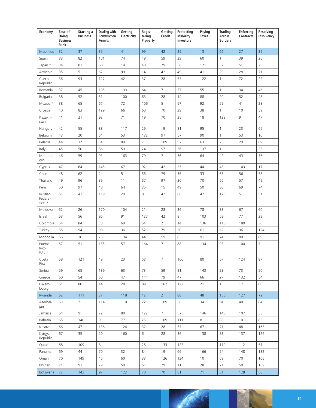| Economy                      | Ease of<br>Doing<br><b>Business</b><br>Rank | Starting a<br><b>Business</b> | <b>Dealing with</b><br>Construction<br><b>Permits</b> | Getting<br>Electricity | Regis-<br>tering<br>Property | Getting<br>Credit | Protecting<br>Minority<br><b>Investors</b> | Paying<br><b>Taxes</b> | <b>Trading</b><br>Across<br><b>Borders</b> | <b>Enforcing</b><br><b>Contracts</b> | <b>Resolving</b><br>Insolvency |
|------------------------------|---------------------------------------------|-------------------------------|-------------------------------------------------------|------------------------|------------------------------|-------------------|--------------------------------------------|------------------------|--------------------------------------------|--------------------------------------|--------------------------------|
| Mauritius                    | 32                                          | 37                            | 35                                                    | 41                     | 99                           | 42                | 29                                         | 13                     | 66                                         | 27                                   | 39                             |
| Spain                        | 33                                          | 82                            | 101                                                   | 74                     | 49                           | 59                | 29                                         | 60                     | $\mathbf{1}$                               | 39                                   | 25                             |
| Japan *                      | 34                                          | 81                            | 68                                                    | 14                     | 48                           | 79                | 36                                         | 121                    | 52                                         | 51                                   | $\overline{2}$                 |
| Armenia                      | 35                                          | 5                             | 62                                                    | 99                     | 14                           | 42                | 49                                         | 41                     | 29                                         | 28                                   | 71                             |
| Czech<br>Republic            | 36                                          | 93                            | 127                                                   | 42                     | 37                           | 28                | 57                                         | 122                    | $\mathbf{1}$                               | 72                                   | 22                             |
| Romania                      | 37                                          | 45                            | 105                                                   | 133                    | 64                           | $\overline{7}$    | 57                                         | 55                     | $\mathbf{1}$                               | 34                                   | 46                             |
| Bulgaria                     | 38                                          | 52                            | 51                                                    | 100                    | 63                           | 28                | 14                                         | 88                     | 20                                         | 52                                   | 48                             |
| Mexico *                     | 38                                          | 65                            | 67                                                    | 72                     | 106                          | 5                 | 57                                         | 92                     | 59                                         | 41                                   | 28                             |
| Croatia                      | 40                                          | 83                            | 129                                                   | 66                     | 60                           | 70                | 29                                         | 38                     | $\mathbf{1}$                               | 10                                   | 59                             |
| Kazakh-<br>stan              | 41                                          | 21                            | 92                                                    | 71                     | 19                           | 70                | 25                                         | 18                     | 122                                        | 9                                    | 47                             |
| Hungary                      | 42                                          | 55                            | 88                                                    | 117                    | 29                           | 19                | 81                                         | 95                     | $\mathbf{1}$                               | 23                                   | 65                             |
| Belgium                      | 43                                          | 20                            | 54                                                    | 53                     | 132                          | 97                | 57                                         | 90                     | $\mathbf{1}$                               | 53                                   | 10                             |
| Belarus                      | 44                                          | 12                            | 34                                                    | 89                     | $\overline{7}$               | 109               | 57                                         | 63                     | 25                                         | 29                                   | 69                             |
| Italy                        | 45                                          | 50                            | 86                                                    | 59                     | 24                           | 97                | 36                                         | 137                    | $\mathbf{1}$                               | 111                                  | 23                             |
| Montene-<br>gro              | 46                                          | 59                            | 91                                                    | 163                    | 79                           | $\overline{7}$    | 36                                         | 64                     | 42                                         | 43                                   | 36                             |
| Cyprus                       | 47                                          | 64                            | 145                                                   | 67                     | 92                           | 42                | 25                                         | 44                     | 43                                         | 143                                  | 17                             |
| Chile                        | 48                                          | 62                            | 24                                                    | 51                     | 56                           | 79                | 36                                         | 33                     | 63                                         | 56                                   | 58                             |
| Thailand                     | 49                                          | 96                            | 39                                                    | 11                     | 57                           | 97                | 36                                         | 70                     | 56                                         | 57                                   | 49                             |
| Peru                         | 50                                          | 97                            | 48                                                    | 64                     | 35                           | 15                | 49                                         | 50                     | 88                                         | 69                                   | 74                             |
| Russian<br>Federa-<br>tion * | 51                                          | 41                            | 119                                                   | 29                     | 8                            | 42                | 66                                         | 47                     | 170                                        | 5                                    | 51                             |
| Moldova                      | 52                                          | 26                            | 170                                                   | 104                    | 21                           | 28                | 36                                         | 78                     | 33                                         | 67                                   | 60                             |
| Israel                       | 53                                          | 56                            | 96                                                    | 91                     | 127                          | 42                | 8                                          | 103                    | 58                                         | 77                                   | 29                             |
| Colombia                     | 54                                          | 84                            | 38                                                    | 69                     | 54                           | $\overline{2}$    | 14                                         | 136                    | 110                                        | 180                                  | 30                             |
| Turkey                       | 55                                          | 94                            | 98                                                    | 36                     | 52                           | 79                | 20                                         | 61                     | 62                                         | 36                                   | 124                            |
| Mongolia                     | 56                                          | 36                            | 25                                                    | 134                    | 44                           | 59                | 8                                          | 91                     | 74                                         | 80                                   | 89                             |
| Puerto<br>Rico<br>(U.S.)     | 57                                          | 51                            | 135                                                   | 57                     | 164                          | $\overline{7}$    | 88                                         | 134                    | 93                                         | 100                                  | $\overline{7}$                 |
| Costa<br>Rica                | 58                                          | $121$                         | 49                                                    | 23                     | 53                           | $\overline{7}$    | 166                                        | 80                     | 67                                         | 124                                  | 87                             |
| Serbia                       | 59                                          | 65                            | 139                                                   | 63                     | 73                           | 59                | 81                                         | 143                    | 23                                         | 73                                   | 50                             |
| Greece                       | 60                                          | 54                            | 60                                                    | 47                     | 144                          | 79                | 47                                         | 66                     | 27                                         | 132                                  | 54                             |
| Luxem-<br>bourg              | 61                                          | 80                            | 14                                                    | 28                     | 89                           | 167               | 122                                        | 21                     | $\mathbf{1}$                               | 17                                   | 80                             |
| Rwanda                       | 62                                          | 111                           | 37                                                    | 118                    | 12                           | 2 <sup>7</sup>    | 88                                         | 48                     | 156                                        | 127                                  | 72                             |
| Azerbai-<br>jan              | 63                                          | $\overline{7}$                | 114                                                   | 110                    | 22                           | 109               | 36                                         | 34                     | 94                                         | 40                                   | 84                             |
| Jamaica                      | 64                                          | 9                             | 72                                                    | 80                     | 122                          | $7^{\circ}$       | 57                                         | 146                    | 146                                        | 107                                  | 35                             |
| Bahrain                      | 65                                          | 140                           | 9                                                     | 77                     | 25                           | 109               | 111                                        | 8                      | 85                                         | 101                                  | 85                             |
| Kosovo                       | 66                                          | 47                            | 136                                                   | 124                    | 32                           | 28                | 57                                         | 67                     | 71                                         | 48                                   | 163                            |
| Kyrgyz<br>Republic           | 67                                          | 35                            | 20                                                    | 160                    | 6                            | 28                | 36                                         | 138                    | 83                                         | 137                                  | 126                            |
| Qatar                        | 68                                          | 109                           | 8                                                     | 111                    | 28                           | 133               | 122                                        | $\mathbf{1}$           | 119                                        | 112                                  | 51                             |
| Panama                       | 69                                          | 44                            | 70                                                    | 32                     | 84                           | 19                | 66                                         | 166                    | 54                                         | 148                                  | 132                            |
| Oman                         | 70                                          | 149                           | 46                                                    | 60                     | 33                           | 126               | 134                                        | 10                     | 69                                         | 70                                   | 105                            |
| Bhutan                       | 71                                          | 91                            | 79                                                    | 50                     | 51                           | 79                | 115                                        | 28                     | 21                                         | 50                                   | 189                            |
| Botswana                     | 72                                          | 143                           | 97                                                    | 122                    | 70                           | 70                | 81                                         | 71                     | 51                                         | 128                                  | 56                             |

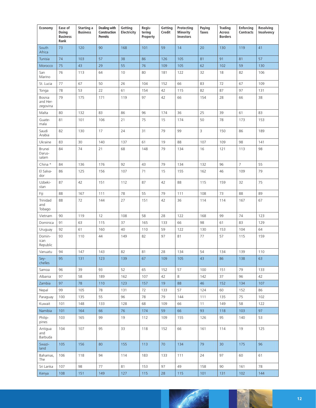| Economy                        | Ease of<br>Doing<br><b>Business</b><br>Rank | Starting a<br><b>Business</b> | <b>Dealing with</b><br>Construction<br><b>Permits</b> | Getting<br>Electricity | Regis-<br>tering<br>Property | Getting<br>Credit | Protecting<br><b>Minority</b><br>Investors | Paying<br><b>Taxes</b> | <b>Trading</b><br>Across<br><b>Borders</b> | <b>Enforcing</b><br><b>Contracts</b> | Resolving<br>Insolvency |
|--------------------------------|---------------------------------------------|-------------------------------|-------------------------------------------------------|------------------------|------------------------------|-------------------|--------------------------------------------|------------------------|--------------------------------------------|--------------------------------------|-------------------------|
| South<br>Africa                | 73                                          | 120                           | 90                                                    | 168                    | 101                          | 59                | 14                                         | 20                     | 130                                        | 119                                  | 41                      |
| Tunisia                        | 74                                          | 103                           | 57                                                    | 38                     | 86                           | 126               | 105                                        | 81                     | 91                                         | 81                                   | 57                      |
| Morocco                        | 75                                          | 43                            | 29                                                    | 55                     | 76                           | 109               | 105                                        | 62                     | 102                                        | 59                                   | 130                     |
| San<br>Marino                  | 76                                          | 113                           | 64                                                    | 10                     | 80                           | 181               | 122                                        | 32                     | 18                                         | 82                                   | 106                     |
| St. Lucia                      | 77                                          | 67                            | 50                                                    | 26                     | 104                          | 152               | 66                                         | 83                     | 72                                         | 67                                   | 109                     |
| Tonga                          | 78                                          | 53                            | 22                                                    | 61                     | 154                          | 42                | 115                                        | 82                     | 87                                         | 97                                   | 131                     |
| Bosnia<br>and Her-<br>zegovina | 79                                          | 175                           | 171                                                   | 119                    | 97                           | 42                | 66                                         | 154                    | 28                                         | 66                                   | 38                      |
| Malta                          | 80                                          | 132                           | 83                                                    | 86                     | 96                           | 174               | 36                                         | 25                     | 39                                         | 61                                   | 83                      |
| Guate-<br>mala                 | 81                                          | 101                           | 106                                                   | 21                     | 75                           | 15                | 174                                        | 50                     | 78                                         | 173                                  | 153                     |
| Saudi<br>Arabia                | 82                                          | 130                           | 17                                                    | 24                     | 31                           | 79                | 99                                         | $\mathsf{3}$           | 150                                        | 86                                   | 189                     |
| Ukraine                        | 83                                          | 30                            | 140                                                   | 137                    | 61                           | 19                | 88                                         | 107                    | 109                                        | 98                                   | 141                     |
| Brunei<br>Darus-<br>salam      | 84                                          | 74                            | 21                                                    | 68                     | 148                          | 79                | 134                                        | 16                     | 121                                        | 113                                  | 98                      |
| China *                        | 84                                          | 136                           | 176                                                   | 92                     | 43                           | 79                | 134                                        | 132                    | 96                                         | $\overline{7}$                       | 55                      |
| El Salva-<br>dor               | 86                                          | 125                           | 156                                                   | 107                    | 71                           | 15                | 155                                        | 162                    | 46                                         | 109                                  | 79                      |
| Uzbeki-<br>stan                | 87                                          | 42                            | 151                                                   | 112                    | 87                           | 42                | 88                                         | 115                    | 159                                        | 32                                   | 75                      |
| Fiji                           | 88                                          | 167                           | 111                                                   | 78                     | 55                           | 79                | 111                                        | 108                    | 73                                         | 88                                   | 89                      |
| Trinidad<br>and<br>Tobago      | 88                                          | 72                            | 144                                                   | 27                     | 151                          | 42                | 36                                         | 114                    | 114                                        | 167                                  | 67                      |
| Vietnam                        | 90                                          | 119                           | 12                                                    | 108                    | 58                           | 28                | 122                                        | 168                    | 99                                         | 74                                   | 123                     |
| Dominica                       | 91                                          | 63                            | 115                                                   | 37                     | 165                          | 133               | 66                                         | 98                     | 61                                         | 83                                   | 129                     |
| Uruguay                        | 92                                          | 61                            | 160                                                   | 40                     | 110                          | 59                | 122                                        | 130                    | 153                                        | 104                                  | 64                      |
| Domin-<br>ican<br>Republic     | 93                                          | 110                           | 44                                                    | 149                    | 82                           | 97                | 81                                         | 77                     | 57                                         | 115                                  | 159                     |
| Vanuatu                        | 94                                          | 147                           | 143                                                   | 82                     | 81                           | 28                | 134                                        | 54                     | 134                                        | 139                                  | 110                     |
| Sey-<br>chelles                | 95                                          | 131                           | 123                                                   | 139                    | 67                           | 109               | 105                                        | 43                     | 86                                         | 138                                  | 63                      |
| Samoa                          | 96                                          | 39                            | 93                                                    | 52                     | 65                           | 152               | 57                                         | 100                    | 151                                        | 79                                   | 133                     |
| Albania                        | 97                                          | 58                            | 189                                                   | 162                    | 107                          | 42                | 8                                          | 142                    | 37                                         | 96                                   | 42                      |
| Zambia                         | 97                                          | 78                            | 110                                                   | 123                    | 157                          | 19                | 88                                         | 46                     | 152                                        | 134                                  | 107                     |
| Nepal                          | 99                                          | 105                           | 78                                                    | 131                    | 72                           | 133               | 57                                         | 124                    | 60                                         | 152                                  | 86                      |
| Paraguay                       | 100                                         | 135                           | 55                                                    | 96                     | 78                           | 79                | 144                                        | 111                    | 135                                        | 75                                   | 102                     |
| Kuwait                         | 101                                         | 148                           | 133                                                   | 128                    | 68                           | 109               | 66                                         | 11                     | 149                                        | 58                                   | 122                     |
| Namibia<br>Philip-<br>pines    | 101<br>103                                  | 164<br>165                    | 66<br>99                                              | 76<br>19               | 174<br>112                   | 59<br>109         | 66<br>155                                  | 93<br>126              | 118<br>95                                  | 103<br>140                           | 97<br>53                |
| Antigua<br>and<br>Barbuda      | 104                                         | 107                           | 95                                                    | 33                     | 118                          | 152               | 66                                         | 161                    | 114                                        | 19                                   | 125                     |
| Swazi-<br>land                 | 105                                         | 156                           | 80                                                    | 155                    | 113                          | 70                | 134                                        | 79                     | 30                                         | 175                                  | 96                      |
| Bahamas,<br>The                | 106                                         | 118                           | 94                                                    | 114                    | 183                          | 133               | 111                                        | 24                     | 97                                         | 60                                   | 61                      |
| Sri Lanka                      | 107                                         | 98                            | 77                                                    | 81                     | 153                          | 97                | 49                                         | 158                    | 90                                         | 161                                  | 78                      |
| Kenya                          | 108                                         | 151                           | 149                                                   | 127                    | 115                          | 28                | 115                                        | 101                    | 131                                        | 102                                  | 144                     |

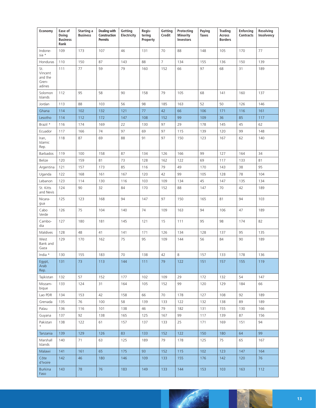| Economy                                      | Ease of<br>Doing<br><b>Business</b><br>Rank | Starting a<br><b>Business</b> | <b>Dealing with</b><br>Construction<br><b>Permits</b> | Getting<br>Electricity | Regis-<br>tering<br>Property | Getting<br>Credit | <b>Protecting</b><br>Minority<br>Investors | Paying<br><b>Taxes</b> | <b>Trading</b><br>Across<br><b>Borders</b> | <b>Enforcing</b><br><b>Contracts</b> | Resolving<br>Insolvency |
|----------------------------------------------|---------------------------------------------|-------------------------------|-------------------------------------------------------|------------------------|------------------------------|-------------------|--------------------------------------------|------------------------|--------------------------------------------|--------------------------------------|-------------------------|
| Indone-<br>sia *                             | 109                                         | 173                           | 107                                                   | 46                     | 131                          | 70                | 88                                         | 148                    | 105                                        | 170                                  | 77                      |
| Honduras                                     | 110                                         | 150                           | 87                                                    | 143                    | 88                           | $\overline{7}$    | 134                                        | 155                    | 136                                        | 150                                  | 139                     |
| St.<br>Vincent<br>and the<br>Gren-<br>adines | 111                                         | 77                            | 59                                                    | 79                     | 160                          | 152               | 66                                         | 97                     | 68                                         | 31                                   | 189                     |
| Solomon<br>Islands                           | 112                                         | 95                            | 58                                                    | 90                     | 158                          | 79                | 105                                        | 68                     | 141                                        | 160                                  | 137                     |
| Jordan                                       | 113                                         | 88                            | 103                                                   | 56                     | 98                           | 185               | 163                                        | 52                     | 50                                         | 126                                  | 146                     |
| Ghana                                        | 114                                         | 102                           | 132                                                   | 121                    | 77                           | 42                | 66                                         | 106                    | 171                                        | 116                                  | 161                     |
| Lesotho                                      | 114                                         | 112                           | 172                                                   | 147                    | 108                          | 152               | 99                                         | 109                    | 36                                         | 85                                   | 117                     |
| Brazil *                                     | 116                                         | 174                           | 169                                                   | 22                     | 130                          | 97                | 29                                         | 178                    | 145                                        | 45                                   | 62                      |
| Ecuador                                      | 117                                         | 166                           | 74                                                    | 97                     | 69                           | 97                | 115                                        | 139                    | 120                                        | 99                                   | 148                     |
| Iran,<br>Islamic<br>Rep.                     | 118                                         | 87                            | 69                                                    | 88                     | 91                           | 97                | 150                                        | 123                    | 167                                        | 62                                   | 140                     |
| Barbados                                     | 119                                         | 100                           | 158                                                   | 87                     | 134                          | 126               | 166                                        | 99                     | 127                                        | 164                                  | 34                      |
| Belize                                       | 120                                         | 159                           | 81                                                    | 73                     | 128                          | 162               | 122                                        | 69                     | 117                                        | 133                                  | 81                      |
| Argentina                                    | 121                                         | 157                           | 173                                                   | 85                     | 116                          | 79                | 49                                         | 170                    | 143                                        | 38                                   | 95                      |
| Uganda                                       | 122                                         | 168                           | 161                                                   | 167                    | 120                          | 42                | 99                                         | 105                    | 128                                        | 78                                   | 104                     |
| Lebanon                                      | 123                                         | 114                           | 130                                                   | 116                    | 103                          | 109               | 134                                        | 45                     | 147                                        | 135                                  | 134                     |
| St. Kitts<br>and Nevis                       | 124                                         | 90                            | 32                                                    | 84                     | 170                          | 152               | 88                                         | 147                    | 70                                         | 42                                   | 189                     |
| Nicara-<br>gua                               | 125                                         | 123                           | 168                                                   | 94                     | 147                          | 97                | 150                                        | 165                    | 81                                         | 94                                   | 103                     |
| Cabo<br>Verde                                | 126                                         | 75                            | 104                                                   | 140                    | 74                           | 109               | 163                                        | 94                     | 106                                        | 47                                   | 189                     |
| Cambo-<br>dia                                | 127                                         | 180                           | 181                                                   | 145                    | 121                          | 15                | 111                                        | 95                     | 98                                         | 174                                  | 82                      |
| Maldives                                     | 128                                         | 48                            | 41                                                    | 141                    | 171                          | 126               | 134                                        | 128                    | 137                                        | 95                                   | 135                     |
| West<br>Bank and<br>Gaza                     | 129                                         | 170                           | 162                                                   | 75                     | 95                           | 109               | 144                                        | 56                     | 84                                         | 90                                   | 189                     |
| India *                                      | 130                                         | 155                           | 183                                                   | 70                     | 138                          | 42                | 8                                          | 157                    | 133                                        | 178                                  | 136                     |
| Egypt,<br>Arab<br>Rep.                       | 131                                         | $73\,$                        | 113                                                   | 144                    | 111                          | 79                | 122                                        | 151                    | 157                                        | 155                                  | 119                     |
| Tajikistan                                   | 132                                         | 57                            | 152                                                   | 177                    | 102                          | 109               | 29                                         | 172                    | 132                                        | 54                                   | 147                     |
| Mozam-<br>bique                              | 133                                         | 124                           | 31                                                    | 164                    | 105                          | 152               | 99                                         | 120                    | 129                                        | 184                                  | 66                      |
| Lao PDR                                      | 134                                         | 153                           | 42                                                    | 158                    | 66                           | 70                | 178                                        | 127                    | 108                                        | 92                                   | 189                     |
| Grenada                                      | 135                                         | 76                            | 100                                                   | 58                     | 139                          | 133               | 122                                        | 132                    | 138                                        | 89                                   | 189                     |
| Palau                                        | 136                                         | 116                           | 101                                                   | 138                    | 46                           | 79                | 182                                        | 131                    | 155                                        | 130                                  | 166                     |
| Guyana                                       | 137                                         | 92                            | 138                                                   | 165                    | 125                          | 167               | 99                                         | 117                    | 139                                        | 87                                   | 156                     |
| Pakistan                                     | 138                                         | 122                           | 61                                                    | 157                    | 137                          | 133               | 25                                         | 171                    | 169                                        | 151                                  | 94                      |
| Tanzania                                     | 139                                         | 129                           | 126                                                   | 83                     | 133                          | 152               | 122                                        | 150                    | 180                                        | 64                                   | 99                      |
| Marshall<br>Islands                          | 140                                         | 71                            | 63                                                    | 125                    | 189                          | 79                | 178                                        | 125                    | 75                                         | 65                                   | 167                     |
| Malawi                                       | 141                                         | 161                           | 65                                                    | 175                    | 93                           | 152               | 115                                        | 102                    | 123                                        | 147                                  | 164                     |
| Côte<br>d'Ivoire                             | 142                                         | 46                            | 180                                                   | 146                    | 109                          | 133               | 155                                        | 176                    | 142                                        | 120                                  | 76                      |
| <b>Burkina</b><br>Faso                       | 143                                         | 78                            | 76                                                    | 183                    | 149                          | 133               | 144                                        | 153                    | 103                                        | 163                                  | 112                     |

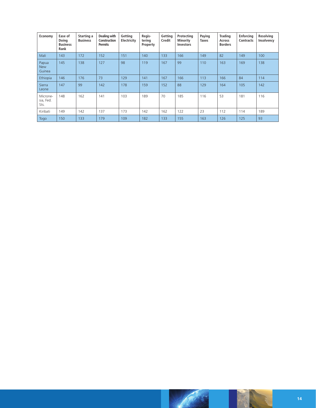| Economy                       | Ease of<br>Doing<br><b>Business</b><br>Rank | Starting a<br><b>Business</b> | Dealing with<br>Construction<br><b>Permits</b> | Getting<br>Electricity | Regis-<br>tering<br>Property | Getting<br>Credit | Protecting<br>Minority<br><b>Investors</b> | Paying<br>Taxes | <b>Trading</b><br><b>Across</b><br><b>Borders</b> | <b>Enforcing</b><br><b>Contracts</b> | Resolving<br>Insolvency |
|-------------------------------|---------------------------------------------|-------------------------------|------------------------------------------------|------------------------|------------------------------|-------------------|--------------------------------------------|-----------------|---------------------------------------------------|--------------------------------------|-------------------------|
| Mali                          | 143                                         | 172                           | 152                                            | 151                    | 140                          | 133               | 166                                        | 149             | 82                                                | 149                                  | 100                     |
| Papua<br><b>New</b><br>Guinea | 145                                         | 138                           | 127                                            | 98                     | 119                          | 167               | 99                                         | 110             | 163                                               | 169                                  | 138                     |
| Ethiopia                      | 146                                         | 176                           | 73                                             | 129                    | 141                          | 167               | 166                                        | 113             | 166                                               | 84                                   | 114                     |
| Sierra<br>Leone               | 147                                         | 99                            | 142                                            | 178                    | 159                          | 152               | 88                                         | 129             | 164                                               | 105                                  | 142                     |
| Microne-<br>sia, Fed.<br>Sts. | 148                                         | 162                           | 141                                            | 103                    | 189                          | 70                | 185                                        | 116             | 53                                                | 181                                  | 116                     |
| Kiribati                      | 149                                         | 142                           | 137                                            | 173                    | 142                          | 162               | 122                                        | 23              | 112                                               | 114                                  | 189                     |
| Togo                          | 150                                         | 133                           | 179                                            | 109                    | 182                          | 133               | 155                                        | 163             | 126                                               | 125                                  | 93                      |

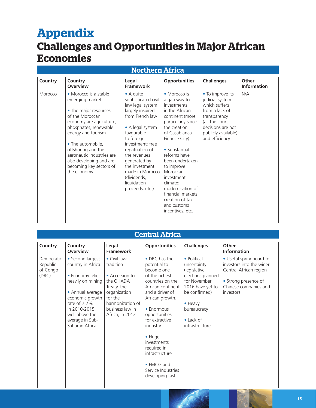## <span id="page-14-0"></span>**Appendix**

### **Challenges and Opportunities in Major African Economies**

### Northern Africa

| Country | Country<br><b>Overview</b>                                                                                                                                                                                                                                                                                      | Legal<br><b>Framework</b>                                                                                                                                                                                                                                                                                | <b>Opportunities</b>                                                                                                                                                                                                                                                                                                                                             | <b>Challenges</b>                                                                                                                                                      | Other<br><b>Information</b> |
|---------|-----------------------------------------------------------------------------------------------------------------------------------------------------------------------------------------------------------------------------------------------------------------------------------------------------------------|----------------------------------------------------------------------------------------------------------------------------------------------------------------------------------------------------------------------------------------------------------------------------------------------------------|------------------------------------------------------------------------------------------------------------------------------------------------------------------------------------------------------------------------------------------------------------------------------------------------------------------------------------------------------------------|------------------------------------------------------------------------------------------------------------------------------------------------------------------------|-----------------------------|
| Morocco | • Morocco is a stable<br>emerging market.<br>• The major resources<br>of the Moroccan<br>economy are agriculture,<br>phosphates, renewable<br>energy and tourism.<br>• The automobile,<br>offshoring and the<br>aeronautic industries are<br>also developing and are<br>becoming key sectors of<br>the economy. | • A quite<br>sophisticated civil<br>law legal system<br>largely inspired<br>from French law<br>• A legal system<br>favourable<br>to foreign<br>investment: free<br>repatriation of<br>the revenues<br>generated by<br>the investment<br>made in Morocco<br>(dividends,<br>liquidation<br>proceeds, etc.) | • Morocco is<br>a gateway to<br>investments<br>in the African<br>continent (more<br>particularly since<br>the creation<br>of Casablanca<br>Finance City)<br>• Substantial<br>reforms have<br>been undertaken<br>to improve<br>Moroccan<br>investment<br>climate:<br>modernisation of<br>financial markets,<br>creation of tax<br>and customs<br>incentives, etc. | • To improve its<br>judicial system<br>which suffers<br>from a lack of<br>transparency<br>(all the court<br>decisions are not<br>publicly available)<br>and efficiency | N/A                         |

### Central Africa

| Country                                     | Country<br><b>Overview</b>                                                                                                                                                                                    | Legal<br><b>Framework</b>                                                                                                                                   | <b>Opportunities</b>                                                                                                                                                                                                                                                                                                               | <b>Challenges</b>                                                                                                                                                                             | Other<br><b>Information</b>                                                                                                                  |
|---------------------------------------------|---------------------------------------------------------------------------------------------------------------------------------------------------------------------------------------------------------------|-------------------------------------------------------------------------------------------------------------------------------------------------------------|------------------------------------------------------------------------------------------------------------------------------------------------------------------------------------------------------------------------------------------------------------------------------------------------------------------------------------|-----------------------------------------------------------------------------------------------------------------------------------------------------------------------------------------------|----------------------------------------------------------------------------------------------------------------------------------------------|
| Democratic<br>Republic<br>of Congo<br>(DRC) | • Second largest<br>country in Africa<br>• Economy relies<br>heavily on mining<br>• Annual average<br>economic growth<br>rate of 7.7%<br>in 2010-2015,<br>well above the<br>average in Sub-<br>Saharan Africa | • Civil law<br>tradition<br>• Accession to<br>the OHADA<br>Treaty, the<br>organization<br>for the<br>harmonization of<br>business law in<br>Africa, in 2012 | • DRC has the<br>potential to<br>become one<br>of the richest<br>countries on the<br>African continent<br>and a driver of<br>African growth.<br>• Enormous<br>opportunities<br>for extractive<br>industry<br>$\bullet$ Huge<br>investments<br>required in<br>infrastructure<br>• FMCG and<br>Service Industries<br>developing fast | • Political<br>uncertainty<br>(legislative<br>elections planned<br>for November<br>2016 have yet to<br>be confirmed)<br>$\bullet$ Heavy<br>bureaucracy<br>$\bullet$ Lack of<br>infrastructure | • Useful springboard for<br>investors into the wider<br>Central African region<br>• Strong presence of<br>Chinese companies and<br>investors |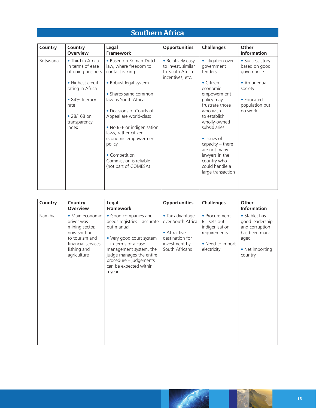### Southern Africa

| Country<br>Country<br><b>Overview</b>                                                                  | Legal<br><b>Framework</b>                                                                                                                                                                                                                                                             | <b>Opportunities</b>                                                           | <b>Challenges</b>                                                                                                                                                                                                                                            | Other<br><b>Information</b>                                        |
|--------------------------------------------------------------------------------------------------------|---------------------------------------------------------------------------------------------------------------------------------------------------------------------------------------------------------------------------------------------------------------------------------------|--------------------------------------------------------------------------------|--------------------------------------------------------------------------------------------------------------------------------------------------------------------------------------------------------------------------------------------------------------|--------------------------------------------------------------------|
| • Third in Africa<br><b>Botswana</b><br>in terms of ease<br>of doing business                          | • Based on Roman-Dutch<br>law, where freedom to<br>contact is king                                                                                                                                                                                                                    | • Relatively easy<br>to invest, similar<br>to South Africa<br>incentives, etc. | • Litigation over<br>government<br>tenders                                                                                                                                                                                                                   | • Success story<br>based on good<br>governance                     |
| • Highest credit<br>rating in Africa<br>• 84% literacy<br>rate<br>• 28/168 on<br>transparency<br>index | • Robust legal system<br>• Shares same common<br>law as South Africa<br>• Decisions of Courts of<br>Appeal are world-class<br>. No BEE or indigenisation<br>laws, rather citizen<br>economic empowerment<br>policy<br>• Competition<br>Commission is reliable<br>(not part of COMESA) |                                                                                | • Citizen<br>economic<br>empowerment<br>policy may<br>frustrate those<br>who wish<br>to establish<br>wholly-owned<br>subsidiaries<br>• Issues of<br>capacity - there<br>are not many<br>lawyers in the<br>country who<br>could handle a<br>large transaction | • An unequal<br>society<br>• Educated<br>population but<br>no work |

| Country | Country<br><b>Overview</b>                                                                                                             | Legal<br>Framework                                                                                                                                                                                                                        | <b>Opportunities</b>                                                                                       | <b>Challenges</b>                                                                                   | Other<br><b>Information</b>                                                                               |
|---------|----------------------------------------------------------------------------------------------------------------------------------------|-------------------------------------------------------------------------------------------------------------------------------------------------------------------------------------------------------------------------------------------|------------------------------------------------------------------------------------------------------------|-----------------------------------------------------------------------------------------------------|-----------------------------------------------------------------------------------------------------------|
| Namibia | • Main economic<br>driver was<br>mining sector,<br>now shifting<br>to tourism and<br>financial services,<br>fishing and<br>agriculture | • Good companies and<br>deeds registries - accurate<br>but manual<br>• Very good court system<br>- in terms of a case<br>management system, the<br>judge manages the entire<br>procedure - judgements<br>can be expected within<br>a year | • Tax advantage<br>over South Africa<br>• Attractive<br>destination for<br>investment by<br>South Africans | • Procurement<br>Bill sets out<br>indigenisation<br>requirements<br>• Need to import<br>electricity | • Stable; has<br>good leadership<br>and corruption<br>has been man-<br>aged<br>• Net importing<br>country |

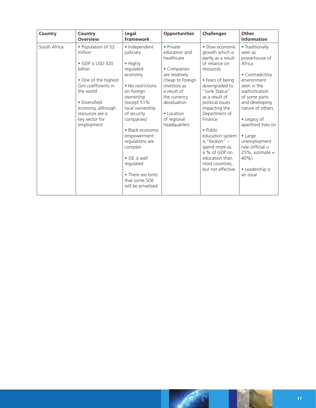| Country      | Country<br><b>Overview</b>                                                                                                                                                                                         | Legal<br><b>Framework</b>                                                                                                                                                                                                                                                                                                                | <b>Opportunities</b>                                                                                                                                                                                     | <b>Challenges</b>                                                                                                                                                                                                                                                                                                                                                                     | Other<br><b>Information</b>                                                                                                                                                                                                                                                                                                                |
|--------------|--------------------------------------------------------------------------------------------------------------------------------------------------------------------------------------------------------------------|------------------------------------------------------------------------------------------------------------------------------------------------------------------------------------------------------------------------------------------------------------------------------------------------------------------------------------------|----------------------------------------------------------------------------------------------------------------------------------------------------------------------------------------------------------|---------------------------------------------------------------------------------------------------------------------------------------------------------------------------------------------------------------------------------------------------------------------------------------------------------------------------------------------------------------------------------------|--------------------------------------------------------------------------------------------------------------------------------------------------------------------------------------------------------------------------------------------------------------------------------------------------------------------------------------------|
| South Africa | • Population of 52<br>million<br>• GDP is USD 320<br>billion<br>• One of the highest<br>Gini coefficients in<br>the world<br>• Diversified<br>economy, although<br>resources are a<br>key sector for<br>employment | · Independent<br>judiciary<br>• Highly<br>regulated<br>economy<br>• No restrictions<br>on foreign<br>ownership<br>(except 51%<br>local ownership<br>of security<br>companies)<br>• Black economic<br>empowerment<br>regulations are<br>complex<br>• JSE is well<br>regulated<br>• There are hints<br>that some SOE<br>will be privatised | • Private<br>education and<br>healthcare<br>• Companies<br>are relatively<br>cheap to foreign<br>investors as<br>a result of<br>the currency<br>devaluation<br>• Location<br>of regional<br>headquarters | • Slow economic<br>growth which is<br>partly as a result<br>of reliance on<br>resources<br>• Fears of being<br>downgraded to<br>"Junk Status"<br>as a result of<br>political issues<br>impacting the<br>Department of<br>Finance<br>$\bullet$ Public<br>education system<br>is "broken" -<br>spend more as<br>a % of GDP on<br>education than<br>most countries,<br>but not effective | • Traditionally<br>seen as<br>powerhouse of<br>Africa<br>• Contradictory<br>environment<br>seen in the<br>sophistication<br>of some parts<br>and developing<br>nature of others<br>• Legacy of<br>apartheid lives on<br>$\bullet$ Large<br>unemployment<br>rate (official $=$<br>$25\%$ , estimate =<br>40%<br>• Leadership is<br>an issue |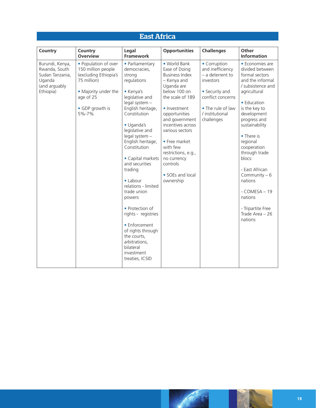### East Africa

| Country                                                                                     | Country<br><b>Overview</b>                                                                                                                          | Legal<br><b>Framework</b>                                                                                                                                                                                                                                                                                                                                                                                                                                                                                           | <b>Opportunities</b>                                                                                                                                                                                                                                                                                                               | <b>Challenges</b>                                                                                                                                                | Other<br><b>Information</b>                                                                                                                                                                                                                                                                                                                                                                     |
|---------------------------------------------------------------------------------------------|-----------------------------------------------------------------------------------------------------------------------------------------------------|---------------------------------------------------------------------------------------------------------------------------------------------------------------------------------------------------------------------------------------------------------------------------------------------------------------------------------------------------------------------------------------------------------------------------------------------------------------------------------------------------------------------|------------------------------------------------------------------------------------------------------------------------------------------------------------------------------------------------------------------------------------------------------------------------------------------------------------------------------------|------------------------------------------------------------------------------------------------------------------------------------------------------------------|-------------------------------------------------------------------------------------------------------------------------------------------------------------------------------------------------------------------------------------------------------------------------------------------------------------------------------------------------------------------------------------------------|
| Burundi, Kenya,<br>Rwanda, South<br>Sudan Tanzania,<br>Uganda<br>(and arguably<br>Ethiopia) | • Population of over<br>150 million people<br>(excluding Ethiopia's<br>75 million)<br>• Majority under the<br>age of 25<br>• GDP growth is<br>5%-7% | • Parliamentary<br>democracies,<br>strong<br>regulations<br>• Kenya's<br>legislative and<br>legal system -<br>English heritage,<br>Constitution<br>· Uganda's<br>legislative and<br>legal system -<br>English heritage,<br>Constitution<br>• Capital markets<br>and securities<br>trading<br>• Labour<br>relations - limited<br>trade union<br>powers<br>• Protection of<br>rights - registries<br>• Enforcement<br>of rights through<br>the courts,<br>arbitrations,<br>bilateral<br>investment<br>treaties, ICSID | • World Bank<br>Ease of Doing<br><b>Business Index</b><br>- Kenya and<br>Uganda are<br>below 100 on<br>the scale of 189<br>• Investment<br>opportunities<br>and government<br>incentives across<br>various sectors<br>• Free market<br>with few<br>restrictions, e.g.,<br>no currency<br>controls<br>• SOEs and local<br>ownership | • Corruption<br>and inefficiency<br>$-$ a deterrent to<br>investors<br>• Security and<br>conflict concerns<br>• The rule of law<br>/ institutional<br>challenges | • Economies are<br>divided between<br>formal sectors<br>and the informal<br>/ subsistence and<br>agricultural<br>• Education<br>is the key to<br>development<br>progress and<br>sustainability<br>• There is<br>regional<br>cooperation<br>through trade<br>blocs:<br>- East African<br>Community $-6$<br>nations<br>$-COMESA-19$<br>nations<br>- Tripartite Free<br>Trade Area - 26<br>nations |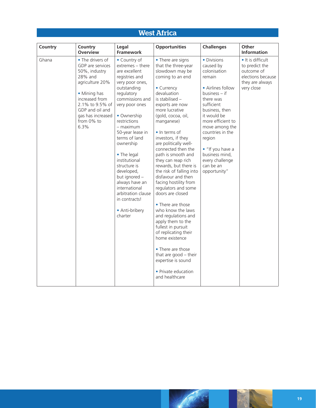### West Africa

| Country | Country<br>Overview                                                                                                                                                                                    | Legal<br>Framework                                                                                                                                                                                                                                                                                                                                                                                                                           | <b>Opportunities</b>                                                                                                                                                                                                                                                                                                                                                                                                                                                                                                                                                                                                                                                                                                                                           | <b>Challenges</b>                                                                                                                                                                                                                                                                                               | <b>Other</b><br><b>Information</b>                                                                      |
|---------|--------------------------------------------------------------------------------------------------------------------------------------------------------------------------------------------------------|----------------------------------------------------------------------------------------------------------------------------------------------------------------------------------------------------------------------------------------------------------------------------------------------------------------------------------------------------------------------------------------------------------------------------------------------|----------------------------------------------------------------------------------------------------------------------------------------------------------------------------------------------------------------------------------------------------------------------------------------------------------------------------------------------------------------------------------------------------------------------------------------------------------------------------------------------------------------------------------------------------------------------------------------------------------------------------------------------------------------------------------------------------------------------------------------------------------------|-----------------------------------------------------------------------------------------------------------------------------------------------------------------------------------------------------------------------------------------------------------------------------------------------------------------|---------------------------------------------------------------------------------------------------------|
| Ghana   | • The drivers of<br>GDP are services<br>50%, industry<br>28% and<br>agriculture 20%<br>• Mining has<br>increased from<br>2.1% to 9.5% of<br>GDP and oil and<br>gas has increased<br>from 0% to<br>6.3% | • Country of<br>extremes - there<br>are excellent<br>registries and<br>very poor ones,<br>outstanding<br>regulatory<br>commissions and<br>very poor ones<br>• Ownership<br>restrictions<br>– maximum<br>50-year lease in<br>terms of land<br>ownership<br>• The legal<br>institutional<br>structure is<br>developed,<br>but ignored -<br>always have an<br>international<br>arbitration clause<br>in contracts!<br>• Anti-bribery<br>charter | • There are signs<br>that the three-year<br>slowdown may be<br>coming to an end<br>• Currency<br>devaluation<br>is stabilised -<br>exports are now<br>more lucrative<br>(gold, cocoa, oil,<br>manganese)<br>• In terms of<br>investors, if they<br>are politically well-<br>connected then the<br>path is smooth and<br>they can reap rich<br>rewards, but there is<br>the risk of falling into<br>disfavour and then<br>facing hostility from<br>regulators and some<br>doors are closed<br>• There are those<br>who know the laws<br>and regulations and<br>apply them to the<br>fullest in pursuit<br>of replicating their<br>home existence<br>• There are those<br>that are good $-$ their<br>expertise is sound<br>• Private education<br>and healthcare | • Divisions<br>caused by<br>colonisation<br>remain<br>• Airlines follow<br>business – if<br>there was<br>sufficient<br>business, then<br>it would be<br>more efficient to<br>move among the<br>countries in the<br>region<br>• "If you have a<br>business mind,<br>every challenge<br>can be an<br>opportunity" | • It is difficult<br>to predict the<br>outcome of<br>elections because<br>they are always<br>very close |



N.

**ANT**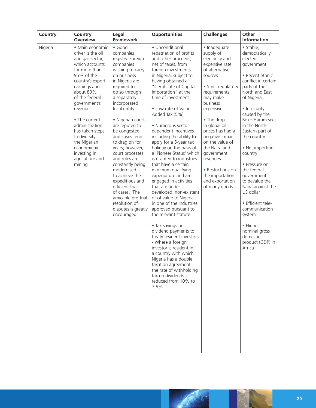| Country | Country<br><b>Overview</b>                                                                                                                                                                                                                                                                                                                              | Legal<br>Framework                                                                                                                                                                                                                                                                                                                                                                                                                                                                                                                          | <b>Opportunities</b>                                                                                                                                                                                                                                                                                                                                                                                                                                                                                                                                                                                                                                                                                                                                                                                                                                                                                                                                                                                    | <b>Challenges</b>                                                                                                                                                                                                                                                                                                                                                                       | Other<br><b>Information</b>                                                                                                                                                                                                                                                                                                                                                                                                                                                                                   |
|---------|---------------------------------------------------------------------------------------------------------------------------------------------------------------------------------------------------------------------------------------------------------------------------------------------------------------------------------------------------------|---------------------------------------------------------------------------------------------------------------------------------------------------------------------------------------------------------------------------------------------------------------------------------------------------------------------------------------------------------------------------------------------------------------------------------------------------------------------------------------------------------------------------------------------|---------------------------------------------------------------------------------------------------------------------------------------------------------------------------------------------------------------------------------------------------------------------------------------------------------------------------------------------------------------------------------------------------------------------------------------------------------------------------------------------------------------------------------------------------------------------------------------------------------------------------------------------------------------------------------------------------------------------------------------------------------------------------------------------------------------------------------------------------------------------------------------------------------------------------------------------------------------------------------------------------------|-----------------------------------------------------------------------------------------------------------------------------------------------------------------------------------------------------------------------------------------------------------------------------------------------------------------------------------------------------------------------------------------|---------------------------------------------------------------------------------------------------------------------------------------------------------------------------------------------------------------------------------------------------------------------------------------------------------------------------------------------------------------------------------------------------------------------------------------------------------------------------------------------------------------|
| Nigeria | • Main economic<br>driver is the oil<br>and gas sector,<br>which accounts<br>for more than<br>95% of the<br>country's export<br>earnings and<br>about 83%<br>of the federal<br>government's<br>revenue<br>• The current<br>administration<br>has taken steps<br>to diversify<br>the Nigerian<br>economy by<br>investing in<br>agriculture and<br>mining | $\bullet$ Good<br>companies<br>registry. Foreign<br>companies<br>wishing to carry<br>on business<br>in Nigeria are<br>required to<br>do so through<br>a separately<br>incorporated<br>local entity<br>• Nigerian courts<br>are reputed to<br>be congested<br>and cases tend<br>to drag on for<br>years; however,<br>court processes<br>and rules are<br>constantly being<br>modernised<br>to achieve the<br>expeditious and<br>efficient trial<br>of cases. The<br>amicable pre-trial<br>resolution of<br>disputes is greatly<br>encouraged | • Unconditional<br>repatriation of profits<br>and other proceeds,<br>net of taxes, from<br>foreign investments<br>in Nigeria, subject to<br>having obtained a<br>"Certificate of Capital<br>Importation" at the<br>time of investment<br>• Low rate of Value<br>Added Tax (5%)<br>· Numerous sector-<br>dependent incentives<br>including the ability to<br>apply for a 5-year tax<br>holiday on the basis of<br>a 'Pioneer Status' which<br>is granted to industries<br>that have a certain<br>minimum qualifying<br>expenditure and are<br>engaged in activities<br>that are under-<br>developed, non-existent<br>or of value to Nigeria<br>in one of the industries<br>approved pursuant to<br>the relevant statute<br>• Tax savings on<br>dividend payments to<br>treaty resident investors<br>- Where a foreign<br>investor is resident in<br>a country with which<br>Nigeria has a double<br>taxation agreement,<br>the rate of withholding<br>tax on dividends is<br>reduced from 10% to<br>7.5% | · Inadequate<br>supply of<br>electricity and<br>expensive rate<br>of alternative<br>sources<br>• Strict regulatory<br>requirements<br>may make<br>business<br>expensive<br>• The drop<br>in global oil<br>prices has had a<br>negative impact<br>on the value of<br>the Naira and<br>government<br>revenues<br>• Restrictions on<br>the importation<br>and exportation<br>of many goods | · Stable,<br>democratically<br>elected<br>government<br>• Recent ethnic<br>conflict in certain<br>parts of the<br>North and East<br>of Nigeria<br>• Insecurity<br>caused by the<br>Boko Haram sect<br>in the North-<br>Eastern part of<br>the country<br>• Net importing<br>country<br>• Pressure on<br>the federal<br>government<br>to devalue the<br>Naira against the<br>US dollar<br>· Efficient tele-<br>communication<br>system<br>• Highest<br>nominal gross<br>domestic<br>product (GDP) in<br>Africa |

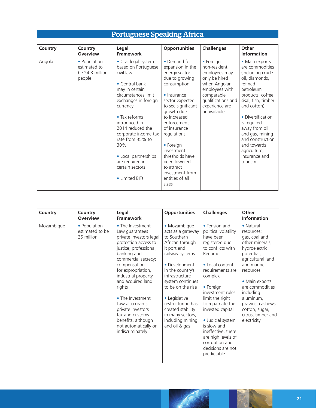| Country | Country<br><b>Overview</b>                                | Legal<br><b>Framework</b>                                                                                                                                                                                                                                                                                                                                | <b>Opportunities</b>                                                                                                                                                                                                                                                                                                                     | <b>Challenges</b>                                                                                                                                                  | Other<br><b>Information</b>                                                                                                                                                                                                                                                                                          |
|---------|-----------------------------------------------------------|----------------------------------------------------------------------------------------------------------------------------------------------------------------------------------------------------------------------------------------------------------------------------------------------------------------------------------------------------------|------------------------------------------------------------------------------------------------------------------------------------------------------------------------------------------------------------------------------------------------------------------------------------------------------------------------------------------|--------------------------------------------------------------------------------------------------------------------------------------------------------------------|----------------------------------------------------------------------------------------------------------------------------------------------------------------------------------------------------------------------------------------------------------------------------------------------------------------------|
| Angola  | • Population<br>estimated to<br>be 24.3 million<br>people | • Civil legal system<br>based on Portuguese<br>civil law<br>$\bullet$ Central bank<br>may in certain<br>circumstances limit<br>exchanges in foreign<br>currency<br>• Tax reforms<br>introduced in<br>2014 reduced the<br>corporate income tax<br>rate from 35% to<br>30%<br>• Local partnerships<br>are required in<br>certain sectors<br>• Limited BITs | • Demand for<br>expansion in the<br>energy sector<br>due to growing<br>consumption<br>• Insurance<br>sector expected<br>to see significant<br>growth due<br>to increased<br>enforcement<br>of insurance<br>regulations<br>• Foreign<br>investment<br>thresholds have<br>been lowered<br>to attract<br>investment from<br>entities of all | • Foreign<br>non-resident<br>employees may<br>only be hired<br>when Angolan<br>employees with<br>comparable<br>qualifications and<br>experience are<br>unavailable | • Main exports<br>are commodities<br>(including crude)<br>oil, diamonds,<br>refined<br>petroleum<br>products, coffee,<br>sisal, fish, timber<br>and cotton)<br>• Diversification<br>is required -<br>away from oil<br>and gas, mining<br>and construction<br>and towards<br>agriculture,<br>insurance and<br>tourism |
|         |                                                           |                                                                                                                                                                                                                                                                                                                                                          | sizes                                                                                                                                                                                                                                                                                                                                    |                                                                                                                                                                    |                                                                                                                                                                                                                                                                                                                      |

### Portuguese Speaking Africa

| Country    | Country<br><b>Overview</b>                    | Legal<br><b>Framework</b>                                                                                                                                                                                                                                                                                                                                                                          | <b>Opportunities</b>                                                                                                                                                                                                                                                                                                      | <b>Challenges</b>                                                                                                                                                                                                                                                                                                                                                                        | Other<br><b>Information</b>                                                                                                                                                                                                                                                          |
|------------|-----------------------------------------------|----------------------------------------------------------------------------------------------------------------------------------------------------------------------------------------------------------------------------------------------------------------------------------------------------------------------------------------------------------------------------------------------------|---------------------------------------------------------------------------------------------------------------------------------------------------------------------------------------------------------------------------------------------------------------------------------------------------------------------------|------------------------------------------------------------------------------------------------------------------------------------------------------------------------------------------------------------------------------------------------------------------------------------------------------------------------------------------------------------------------------------------|--------------------------------------------------------------------------------------------------------------------------------------------------------------------------------------------------------------------------------------------------------------------------------------|
| Mozambique | • Population<br>estimated to be<br>25 million | • The Investment<br>Law guarantees<br>private investors legal<br>protection access to<br>justice; professional,<br>banking and<br>commercial secrecy;<br>compensation<br>for expropriation,<br>industrial property<br>and acquired land<br>rights<br>• The Investment<br>Law also grants<br>private investors<br>tax and customs<br>benefits, although<br>not automatically or<br>indiscriminately | · Mozambique<br>acts as a gateway<br>to Southern<br>African through<br>it port and<br>railway systems<br>• Development<br>in the country's<br>infrastructure<br>system continues<br>to be on the rise<br>• Legislative<br>restructuring has<br>created stability<br>in many sectors,<br>including mining<br>and oil & gas | • Tension and<br>political volatility<br>have been<br>registered due<br>to conflicts with<br>Renamo<br>• Local content<br>requirements are<br>complex<br>• Foreign<br>investment rules<br>limit the right<br>to repatriate the<br>invested capital<br>· Judicial system<br>is slow and<br>ineffective, there<br>are high levels of<br>corruption and<br>decisions are not<br>predictable | • Natural<br>resources:<br>gas, coal and<br>other minerals,<br>hydroelectric<br>potential,<br>agricultural land<br>and marine<br>resources<br>• Main exports<br>are commodities<br>including<br>aluminum,<br>prawns, cashews,<br>cotton, sugar,<br>citrus, timber and<br>electricity |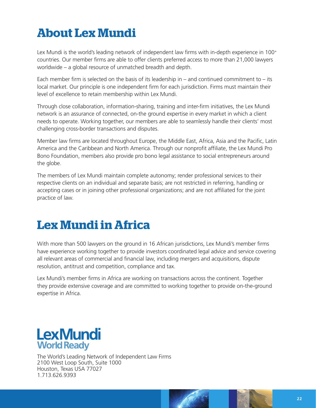## **About Lex Mundi**

Lex Mundi is the world's leading network of independent law firms with in-depth experience in 100<sup>+</sup> countries. Our member firms are able to offer clients preferred access to more than 21,000 lawyers worldwide – a global resource of unmatched breadth and depth.

Each member firm is selected on the basis of its leadership in – and continued commitment to – its local market. Our principle is one independent firm for each jurisdiction. Firms must maintain their level of excellence to retain membership within Lex Mundi.

Through close collaboration, information-sharing, training and inter-firm initiatives, the Lex Mundi network is an assurance of connected, on-the ground expertise in every market in which a client needs to operate. Working together, our members are able to seamlessly handle their clients' most challenging cross-border transactions and disputes.

Member law firms are located throughout Europe, the Middle East, Africa, Asia and the Pacific, Latin America and the Caribbean and North America. Through our nonprofit affiliate, the Lex Mundi Pro Bono Foundation, members also provide pro bono legal assistance to social entrepreneurs around the globe.

The members of Lex Mundi maintain complete autonomy; render professional services to their respective clients on an individual and separate basis; are not restricted in referring, handling or accepting cases or in joining other professional organizations; and are not affiliated for the joint practice of law.

## **Lex Mundi in Africa**

With more than 500 lawyers on the ground in 16 African jurisdictions, Lex Mundi's member firms have experience working together to provide investors coordinated legal advice and service covering all relevant areas of commercial and financial law, including mergers and acquisitions, dispute resolution, antitrust and competition, compliance and tax.

Lex Mundi's member firms in Africa are working on transactions across the continent. Together they provide extensive coverage and are committed to working together to provide on-the-ground expertise in Africa.

### **LexMundi World Ready**

The World's Leading Network of Independent Law Firms 2100 West Loop South, Suite 1000 Houston, Texas USA 77027 1.713.626.9393

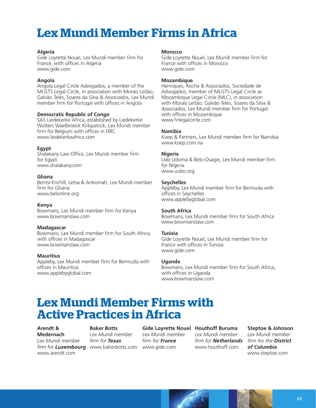## **Lex Mundi Member Firms in Africa**

#### **Algeria**

Gide Loyrette Nouel, Lex Mundi member firm for France, with offices in Algeria [www.gide.com](http://www.gide.com)

#### **Angola**

Angola Legal Circle Advogados, a member of the MLGTS Legal Circle, in association with Morais Leitão, Galvão Teles, Soares da Silva & Associados, Lex Mundi member firm for Portugal with offices in Angola

#### **Democratic Republic of Congo**

SAS Liedekerke Africa, established by Liedekerke Wolters Waelbroeck Kirkpatrick, Lex Mundi member firm for Belgium with offices in DRC [www.liedekerkeafrica.com](http://www.liedekerkeafrica.com)

#### **Egypt**

Shalakany Law Office, Lex Mundi member firm for Egypt [www.shalakany.com](http://www.shalakany.com)

#### **Ghana**

Bentsi-Enchill, Letsa & Ankomah, Lex Mundi member firm for Ghana [www.belonline.org](http://www.belonline.org)

#### **Kenya**

Bowmans, Lex Mundi member firm for Kenya [www.bowmanslaw.com](http://www.bowmanslaw.com)

#### **Madagascar**

Bowmans, Lex Mundi member firm for South Africa, with offices in Madagascar [www.bowmanslaw.com](http://www.bowmanslaw.com)

#### **Mauritius**

Appleby, Lex Mundi member firm for Bermuda with offices in Mauritius [www.applebyglobal.com](http://www.applebyglobal.com)

#### **Morocco**

Gide Loyrette Nouel, Lex Mundi member firm for France with offices in Morocco [www.gide.com](http://www.gide.com)

#### **Mozambique**

Henriques, Rocha & Associados, Sociedade de Advogados, member of MLGTS Legal Circle as Mozambique Legal Circle (MLC), in association with Morais Leitão, Galvão Teles, Soares da Silva & Associados, Lex Mundi member firm for Portugal with offices in Mozambique [www.hrlegalcircle.com](http://www.hrlegalcircle.com)

#### **Namibia**

Koep & Partners, Lex Mundi member firm for Namibia [www.koep.com.na](http://www.koep.com.na)

#### **Nigeria**

Udo Udoma & Belo-Osagie, Lex Mundi member firm for Nigeria [www.uubo.org](http://www.uubo.org)

#### **Seychelles**

Appleby, Lex Mundi member firm for Bermuda with offices in Seychelles [www.applebyglobal.com](http://www.applebyglobal.com)

#### **South Africa**

Bowmans, Lex Mundi m[e](http://www.bowmanslaw.com )mber firm for South Africa [www.bowmanslaw.com](http://www.bowmanslaw.com)

#### **Tunisia**

Gide Loyrette Nouel, Lex Mundi member firm for France with offices in Tunisia [www.gide.com](http://www.gide.com)

#### **Uganda**

Bowmans, Lex Mundi member firm for South Africa, with offices in Uganda [www.bowmanslaw.com](http://www.bowmanslaw.com)

### **Lex Mundi Member Firms with Active Practices in Africa**

**Arendt & Medernach**  *Lex Mundi member* 

[www.arendt.com](http://www.arendt.com)

#### **Baker Botts**

*firm for Luxembourg* [www.bakerbotts.com](http://www.bakerbotts.com) [www.gide.com](http://www.gide.com) *Lex Mundi member firm for Texas*

*Lex Mundi member firm for France*

#### **Gide Loyrette Nouel Houthoff Buruma** *Lex Mundi member*

[www.houthoff.com](http://www.houthoff.com)

*firm for Netherlands firm for the District*  **Steptoe & Johnson** *Lex Mundi member of Columbia* [www.steptoe.com](http://www.steptoe.com)